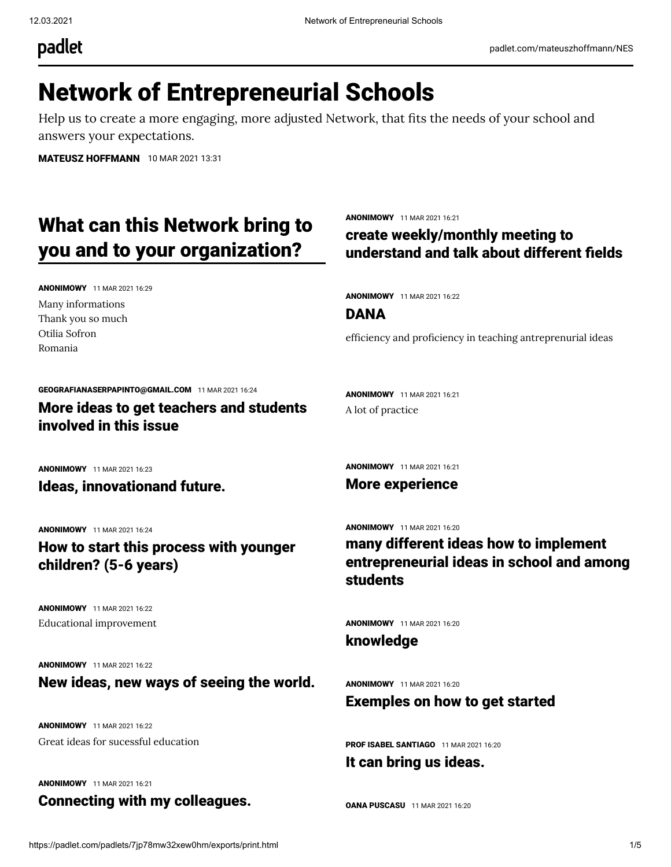padlet

# Network of Entrepreneurial Schools

Help us to create a more engaging, more adjusted Network, that fits the needs of your school and answers your expectations.

[MATEUSZ HOFFMANN](https://padlet.com/mateuszhoffmann) 10 MAR 2021 13:31

# What can this Network bring to you and to your organization?

ANONIMOWY 11 MAR 2021 16:29 Many informations Thank you so much Otilia Sofron Romania

ANONIMOWY 11 MAR 2021 16:21

## create weekly/monthly meeting to understand and talk about different fields

ANONIMOWY 11 MAR 2021 16:22

DANA

efficiency and proficiency in teaching antreprenurial ideas

[GEOGRAFIANASERPAPINTO@GMAIL.COM](https://padlet.com/geografianaserpapinto1) 11 MAR 2021 16:24 More ideas to get teachers and students involved in this issue

ANONIMOWY 11 MAR 2021 16:23

Ideas, innovationand future.

ANONIMOWY 11 MAR 2021 16:24

How to start this process with younger children? (5-6 years)

ANONIMOWY 11 MAR 2021 16:22 Educational improvement

ANONIMOWY 11 MAR 2021 16:22 New ideas, new ways of seeing the world.

ANONIMOWY 11 MAR 2021 16:22 Great ideas for sucessful education

ANONIMOWY 11 MAR 2021 16:21

Connecting with my colleagues.

ANONIMOWY 11 MAR 2021 16:21

ANONIMOWY 11 MAR 2021 16:21

A lot of practice

More experience

ANONIMOWY 11 MAR 2021 16:20

many different ideas how to implement entrepreneurial ideas in school and among students

ANONIMOWY 11 MAR 2021 16:20

knowledge

ANONIMOWY 11 MAR 2021 16:20

### Exemples on how to get started

[PROF ISABEL SANTIAGO](https://padlet.com/isabelsantiago4) 11 MAR 2021 16:20

It can bring us ideas.

**[OANA PUSCASU](https://padlet.com/puscasuoana25)** 11 MAR 2021 16:20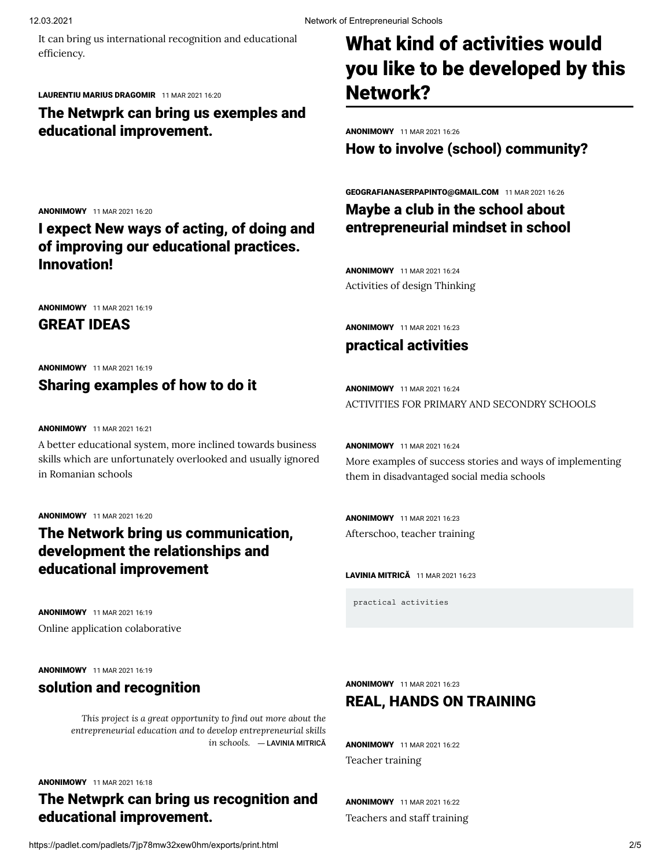It can bring us international recognition and educational efficiency.

#### [LAURENTIU MARIUS DRAGOMIR](https://padlet.com/laurentiudragomir) 11 MAR 2021 16:20

ANONIMOWY 11 MAR 2021 16:20

ANONIMOWY 11 MAR 2021 16:19 GREAT IDEAS

ANONIMOWY 11 MAR 2021 16:19

ANONIMOWY 11 MAR 2021 16:21

ANONIMOWY 11 MAR 2021 16:20

in Romanian schools

Sharing examples of how to do it

A better educational system, more inclined towards business skills which are unfortunately overlooked and usually ignored

The Network bring us communication, development the relationships and

Innovation!

The Netwprk can bring us exemples and educational improvement.

I expect New ways of acting, of doing and of improving our educational practices.

# What kind of activities would you like to be developed by this Network?

ANONIMOWY 11 MAR 2021 16:26

How to involve (school) community?

[GEOGRAFIANASERPAPINTO@GMAIL.COM](https://padlet.com/geografianaserpapinto1) 11 MAR 2021 16:26 Maybe a club in the school about entrepreneurial mindset in school

ANONIMOWY 11 MAR 2021 16:24 Activities of design Thinking

ANONIMOWY 11 MAR 2021 16:23

## practical activities

ANONIMOWY 11 MAR 2021 16:24 ACTIVITIES FOR PRIMARY AND SECONDRY SCHOOLS

ANONIMOWY 11 MAR 2021 16:24 More examples of success stories and ways of implementing them in disadvantaged social media schools

ANONIMOWY 11 MAR 2021 16:23 Afterschoo, teacher training

[LAVINIA MITRIC](https://padlet.com/laviniaveronica_mitrica)Ă 11 MAR 2021 16:23

practical activities

ANONIMOWY 11 MAR 2021 16:19

ANONIMOWY 11 MAR 2021 16:19

Online application colaborative

### solution and recognition

educational improvement

*This project is a great opportunity to nd out more about the entrepreneurial education and to develop entrepreneurial skills in schools.* ― [LAVINIA MITRIC](https://padlet.com/laviniaveronica_mitrica)Ă

ANONIMOWY 11 MAR 2021 16:18

# The Netwprk can bring us recognition and educational improvement.

ANONIMOWY 11 MAR 2021 16:22 Teachers and staff training

https://padlet.com/padlets/7jp78mw32xew0hm/exports/print.html 2/5

ANONIMOWY 11 MAR 2021 16:23

# REAL, HANDS ON TRAINING

ANONIMOWY 11 MAR 2021 16:22 Teacher training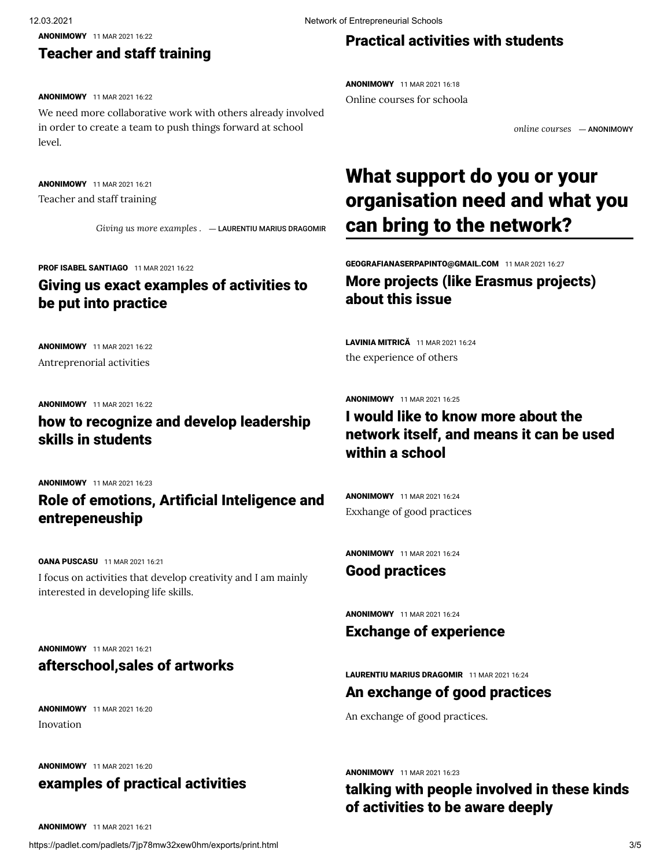ANONIMOWY 11 MAR 2021 16:22

## Teacher and staff training

#### ANONIMOWY 11 MAR 2021 16:22

We need more collaborative work with others already involved in order to create a team to push things forward at school level.

ANONIMOWY 11 MAR 2021 16:21 Teacher and staff training

*Giving us more examples .* ― [LAURENTIU MARIUS DRAGOMIR](https://padlet.com/laurentiudragomir)

#### [PROF ISABEL SANTIAGO](https://padlet.com/isabelsantiago4) 11 MAR 2021 16:22

## Giving us exact examples of activities to be put into practice

ANONIMOWY 11 MAR 2021 16:22 Antreprenorial activities

#### ANONIMOWY 11 MAR 2021 16:22

how to recognize and develop leadership skills in students

ANONIMOWY 11 MAR 2021 16:23

# Role of emotions, Artificial Inteligence and entrepeneuship

[OANA PUSCASU](https://padlet.com/puscasuoana25) 11 MAR 2021 16:21 I focus on activities that develop creativity and I am mainly interested in developing life skills.

### ANONIMOWY 11 MAR 2021 16:21 afterschool,sales of artworks

ANONIMOWY 11 MAR 2021 16:20 Inovation

ANONIMOWY 11 MAR 2021 16:20

# examples of practical activities

# Practical activities with students

**ANONIMOWY** 11 MAR 2021 16:18 Online courses for schoola

*online courses* ― ANONIMOWY

# What support do you or your organisation need and what you can bring to the network?

[GEOGRAFIANASERPAPINTO@GMAIL.COM](https://padlet.com/geografianaserpapinto1) 11 MAR 2021 16:27 More projects (like Erasmus projects) about this issue

[LAVINIA MITRIC](https://padlet.com/laviniaveronica_mitrica)Ă 11 MAR 2021 16:24 the experience of others

#### ANONIMOWY 11 MAR 2021 16:25

# I would like to know more about the network itself, and means it can be used within a school

ANONIMOWY 11 MAR 2021 16:24 Exxhange of good practices

**ANONIMOWY** 11 MAR 2021 16:24

### Good practices

ANONIMOWY 11 MAR 2021 16:24

### Exchange of experience

[LAURENTIU MARIUS DRAGOMIR](https://padlet.com/laurentiudragomir) 11 MAR 2021 16:24

### An exchange of good practices

An exchange of good practices.

ANONIMOWY 11 MAR 2021 16:23

talking with people involved in these kinds of activities to be aware deeply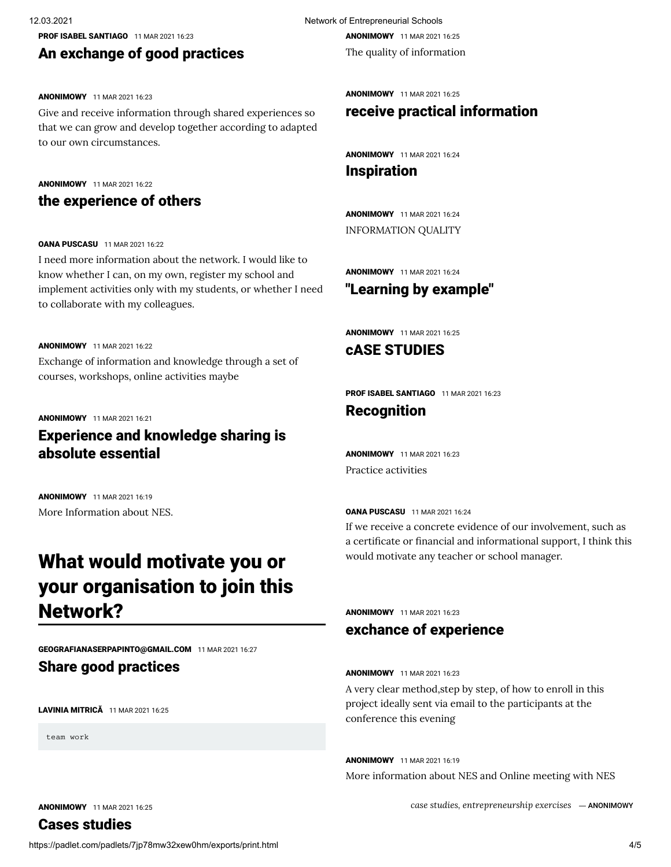[PROF ISABEL SANTIAGO](https://padlet.com/isabelsantiago4) 11 MAR 2021 16:23

### An exchange of good practices

#### ANONIMOWY 11 MAR 2021 16:23

Give and receive information through shared experiences so that we can grow and develop together according to adapted to our own circumstances.

#### ANONIMOWY 11 MAR 2021 16:22

### the experience of others

#### [OANA PUSCASU](https://padlet.com/puscasuoana25) 11 MAR 2021 16:22

I need more information about the network. I would like to know whether I can, on my own, register my school and implement activities only with my students, or whether I need to collaborate with my colleagues.

#### ANONIMOWY 11 MAR 2021 16:22

Exchange of information and knowledge through a set of courses, workshops, online activities maybe

#### ANONIMOWY 11 MAR 2021 16:21

# Experience and knowledge sharing is absolute essential

ANONIMOWY 11 MAR 2021 16:19 More Information about NES.

# What would motivate you or your organisation to join this Network?

[GEOGRAFIANASERPAPINTO@GMAIL.COM](https://padlet.com/geografianaserpapinto1) 11 MAR 2021 16:27

### Share good practices

[LAVINIA MITRIC](https://padlet.com/laviniaveronica_mitrica)Ă 11 MAR 2021 16:25

team work

12.03.2021 Network of Entrepreneurial Schools ANONIMOWY 11 MAR 2021 16:25

The quality of information

ANONIMOWY 11 MAR 2021 16:25

### receive practical information

ANONIMOWY 11 MAR 2021 16:24

### Inspiration

ANONIMOWY 11 MAR 2021 16:24 INFORMATION QUALITY

**ANONIMOWY** 11 MAR 2021 16:24

### "Learning by example"

ANONIMOWY 11 MAR 2021 16:25

cASE STUDIES

[PROF ISABEL SANTIAGO](https://padlet.com/isabelsantiago4) 11 MAR 2021 16:23

### Recognition

**ANONIMOWY** 11 MAR 2021 16:23 Practice activities

[OANA PUSCASU](https://padlet.com/puscasuoana25) 11 MAR 2021 16:24 If we receive a concrete evidence of our involvement, such as a certificate or financial and informational support, I think this would motivate any teacher or school manager.

#### **ANONIMOWY** 11 MAR 2021 16:23

### exchance of experience

#### ANONIMOWY 11 MAR 2021 16:23

A very clear method,step by step, of how to enroll in this project ideally sent via email to the participants at the conference this evening

ANONIMOWY 11 MAR 2021 16:19 More information about NES and Online meeting with NES

*case studies, entrepreneurship exercises* ― ANONIMOWY

ANONIMOWY 11 MAR 2021 16:25 Cases studies

https://padlet.com/padlets/7jp78mw32xew0hm/exports/print.html 4/5